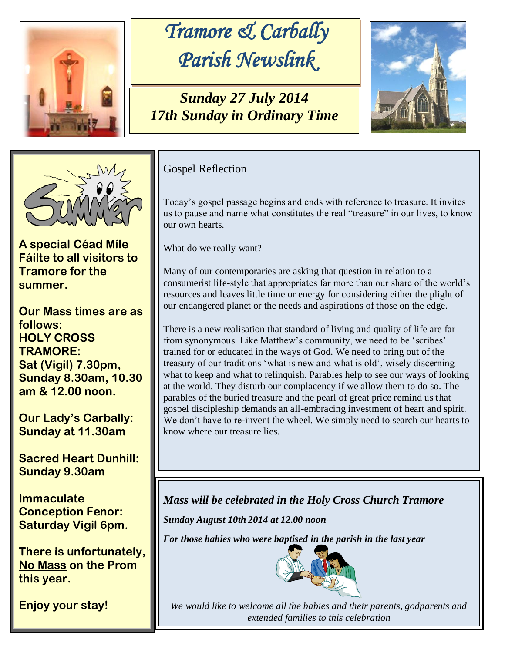

## *Tramore & Carbally Parish Newslink*

*Sunday 27 July 2014 17th Sunday in Ordinary Time*





**A special Céad Míle Fáilte to all visitors to Tramore for the summer.** 

**Our Mass times are as follows: HOLY CROSS TRAMORE: Sat (Vigil) 7.30pm, Sunday 8.30am, 10.30 am & 12.00 noon.** 

**Our Lady's Carbally: Sunday at 11.30am**

**Sacred Heart Dunhill: Sunday 9.30am**

**Immaculate Conception Fenor: Saturday Vigil 6pm.**

**There is unfortunately, No Mass on the Prom this year.** 

**Enjoy your stay!** 

## Gospel Reflection

Today's gospel passage begins and ends with reference to treasure. It invites us to pause and name what constitutes the real "treasure" in our lives, to know our own hearts.

What do we really want?

Many of our contemporaries are asking that question in relation to a consumerist life-style that appropriates far more than our share of the world's resources and leaves little time or energy for considering either the plight of our endangered planet or the needs and aspirations of those on the edge.

There is a new realisation that standard of living and quality of life are far from synonymous. Like Matthew's community, we need to be 'scribes' trained for or educated in the ways of God. We need to bring out of the treasury of our traditions 'what is new and what is old', wisely discerning what to keep and what to relinquish. Parables help to see our ways of looking at the world. They disturb our complacency if we allow them to do so. The parables of the buried treasure and the pearl of great price remind us that gospel discipleship demands an all-embracing investment of heart and spirit. We don't have to re-invent the wheel. We simply need to search our hearts to know where our treasure lies.

*Mass will be celebrated in the Holy Cross Church Tramore*

*Sunday August 10th 2014 at 12.00 noon*

*For those babies who were baptised in the parish in the last year*



*We would like to welcome all the babies and their parents, godparents and extended families to this celebration*